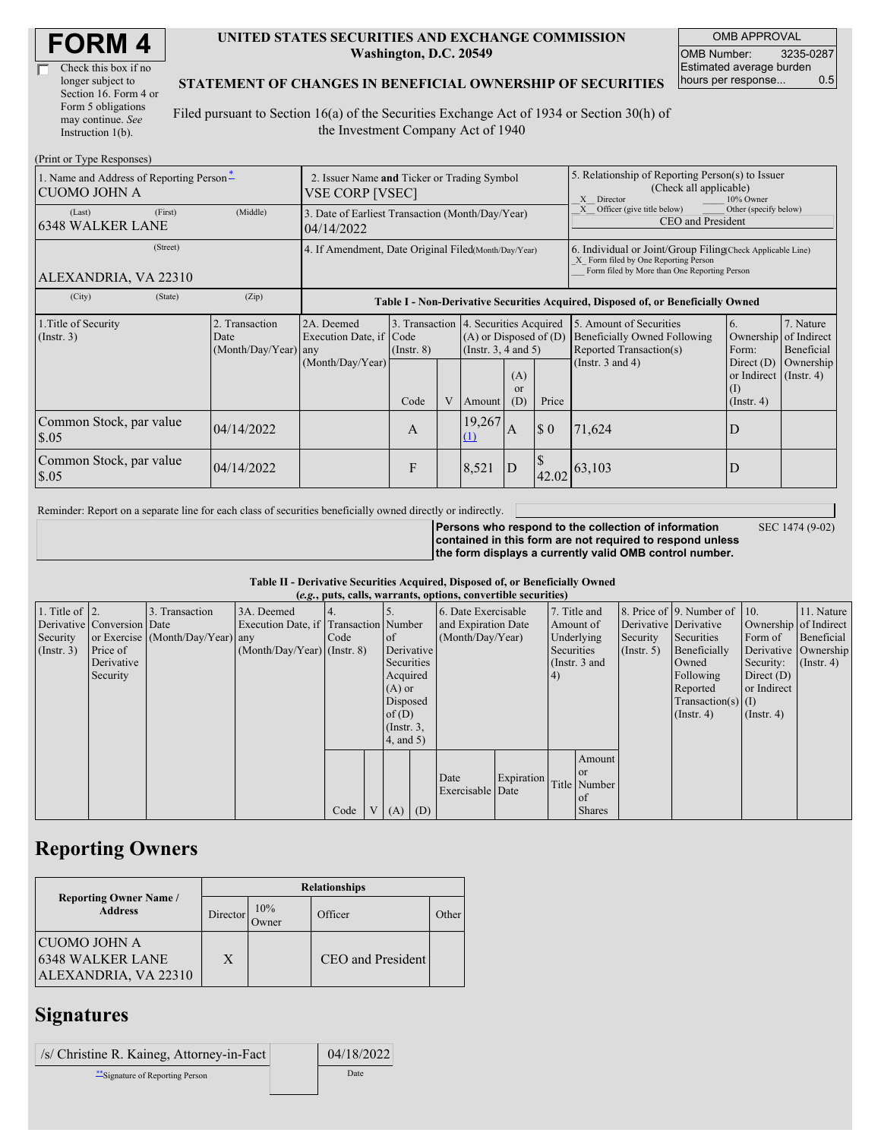| Check this box if no  |
|-----------------------|
| longer subject to     |
| Section 16. Form 4 or |
| Form 5 obligations    |
| may continue. See     |
| Instruction 1(b).     |

#### **UNITED STATES SECURITIES AND EXCHANGE COMMISSION Washington, D.C. 20549**

OMB APPROVAL OMB Number: 3235-0287 Estimated average burden hours per response... 0.5

#### **STATEMENT OF CHANGES IN BENEFICIAL OWNERSHIP OF SECURITIES**

Filed pursuant to Section 16(a) of the Securities Exchange Act of 1934 or Section 30(h) of the Investment Company Act of 1940

| (Print or Type Responses)                                       |                                                                 |                                                |                                                                                  |                 |   |                                                                                            |                                                                                                                                                    |             |                                                                                                                                                                                   |                                                                   |                         |  |
|-----------------------------------------------------------------|-----------------------------------------------------------------|------------------------------------------------|----------------------------------------------------------------------------------|-----------------|---|--------------------------------------------------------------------------------------------|----------------------------------------------------------------------------------------------------------------------------------------------------|-------------|-----------------------------------------------------------------------------------------------------------------------------------------------------------------------------------|-------------------------------------------------------------------|-------------------------|--|
| 1. Name and Address of Reporting Person-<br><b>CUOMO JOHN A</b> |                                                                 |                                                | 2. Issuer Name and Ticker or Trading Symbol<br>VSE CORP [VSEC]                   |                 |   |                                                                                            |                                                                                                                                                    |             | 5. Relationship of Reporting Person(s) to Issuer<br>(Check all applicable)<br>10% Owner<br>X Director<br>Officer (give title below)<br>Other (specify below)<br>CEO and President |                                                                   |                         |  |
| (Last)<br><b>6348 WALKER LANE</b>                               | 3. Date of Earliest Transaction (Month/Day/Year)<br>104/14/2022 |                                                |                                                                                  |                 |   |                                                                                            |                                                                                                                                                    |             |                                                                                                                                                                                   |                                                                   |                         |  |
| ALEXANDRIA, VA 22310                                            | 4. If Amendment, Date Original Filed(Month/Day/Year)            |                                                |                                                                                  |                 |   |                                                                                            | 6. Individual or Joint/Group Filing Check Applicable Line)<br>X Form filed by One Reporting Person<br>Form filed by More than One Reporting Person |             |                                                                                                                                                                                   |                                                                   |                         |  |
| (City)                                                          | (State)                                                         | (Zip)                                          | Table I - Non-Derivative Securities Acquired, Disposed of, or Beneficially Owned |                 |   |                                                                                            |                                                                                                                                                    |             |                                                                                                                                                                                   |                                                                   |                         |  |
| 1. Title of Security<br>$($ Instr. 3 $)$                        |                                                                 | 2. Transaction<br>Date<br>(Month/Day/Year) any | 2A. Deemed<br>Execution Date, if Code<br>(Month/Day/Year)                        | $($ Instr. $8)$ |   | 3. Transaction 4. Securities Acquired<br>$(A)$ or Disposed of $(D)$<br>(Instr. 3, 4 and 5) |                                                                                                                                                    |             | 5. Amount of Securities<br>Beneficially Owned Following<br>Reported Transaction(s)                                                                                                | 6.<br>Ownership of Indirect<br>Form:                              | 7. Nature<br>Beneficial |  |
|                                                                 |                                                                 |                                                |                                                                                  | Code            | V | Amount                                                                                     | (A)<br>or<br>(D)                                                                                                                                   | Price       | (Instr. $3$ and $4$ )                                                                                                                                                             | Direct $(D)$<br>or Indirect (Instr. 4)<br>(I)<br>$($ Instr. 4 $)$ | Ownership               |  |
| Common Stock, par value<br>\$.05                                |                                                                 | 04/14/2022                                     |                                                                                  | A               |   | 19,267<br>(1)                                                                              | A                                                                                                                                                  | $\sqrt{3}0$ | 71,624                                                                                                                                                                            | D                                                                 |                         |  |
| Common Stock, par value<br>\$.05                                |                                                                 | 04/14/2022                                     |                                                                                  | F               |   | 8,521                                                                                      | D                                                                                                                                                  |             | $\left  \frac{42.02}{63,103} \right $                                                                                                                                             | D                                                                 |                         |  |

Reminder: Report on a separate line for each class of securities beneficially owned directly or indirectly.

**Persons who respond to the collection of information**

SEC 1474 (9-02)

**contained in this form are not required to respond unless the form displays a currently valid OMB control number.**

**Table II - Derivative Securities Acquired, Disposed of, or Beneficially Owned**

| (e.g., puts, calls, warrants, options, convertible securities) |            |                                  |                                       |      |          |                     |                  |                     |            |              |                       |               |                          |                      |                  |
|----------------------------------------------------------------|------------|----------------------------------|---------------------------------------|------|----------|---------------------|------------------|---------------------|------------|--------------|-----------------------|---------------|--------------------------|----------------------|------------------|
| 1. Title of $\vert$ 2.                                         |            | 3. Transaction                   | 3A. Deemed                            |      |          |                     |                  | 6. Date Exercisable |            | 7. Title and |                       |               | 8. Price of 9. Number of | 110.                 | 11. Nature       |
| Derivative Conversion Date                                     |            |                                  | Execution Date, if Transaction Number |      |          | and Expiration Date |                  |                     | Amount of  |              | Derivative Derivative |               | Ownership of Indirect    |                      |                  |
| Security                                                       |            | or Exercise (Month/Day/Year) any |                                       | Code |          | <sub>of</sub>       | (Month/Day/Year) |                     |            | Underlying   | Security              | Securities    | Form of                  | Beneficial           |                  |
| $($ Instr. 3 $)$                                               | Price of   |                                  | $(Month/Day/Year)$ (Instr. 8)         |      |          |                     | Derivative       |                     |            | Securities   |                       | $($ Instr. 5) | Beneficially             | Derivative Ownership |                  |
|                                                                | Derivative |                                  |                                       |      |          | Securities          |                  |                     |            |              | (Instr. $3$ and       |               | Owned                    | Security:            | $($ Instr. 4 $)$ |
|                                                                | Security   |                                  |                                       |      |          | Acquired            |                  |                     |            | 4)           |                       |               | Following                | Direct $(D)$         |                  |
|                                                                |            |                                  |                                       |      |          | $(A)$ or            |                  |                     |            |              |                       |               | Reported                 | or Indirect          |                  |
|                                                                |            |                                  |                                       |      | Disposed |                     |                  |                     |            |              |                       |               | $Transaction(s)$ (I)     |                      |                  |
|                                                                |            |                                  |                                       |      |          | of $(D)$            |                  |                     |            |              |                       |               | $($ Instr. 4)            | $($ Instr. 4 $)$     |                  |
|                                                                |            |                                  |                                       |      |          | $($ Instr. 3,       |                  |                     |            |              |                       |               |                          |                      |                  |
|                                                                |            |                                  |                                       |      |          | $4$ , and 5)        |                  |                     |            |              |                       |               |                          |                      |                  |
|                                                                |            |                                  |                                       |      |          |                     |                  |                     |            |              | Amount                |               |                          |                      |                  |
|                                                                |            |                                  |                                       |      |          |                     |                  |                     |            |              | <sub>or</sub>         |               |                          |                      |                  |
|                                                                |            |                                  |                                       |      |          |                     |                  | Date                | Expiration |              | Title Number          |               |                          |                      |                  |
|                                                                |            |                                  |                                       |      |          |                     |                  | Exercisable Date    |            |              | of                    |               |                          |                      |                  |
|                                                                |            |                                  |                                       | Code |          | $V(A)$ (D)          |                  |                     |            |              | <b>Shares</b>         |               |                          |                      |                  |

## **Reporting Owners**

|                                                                 | <b>Relationships</b> |              |                   |       |  |  |  |  |  |
|-----------------------------------------------------------------|----------------------|--------------|-------------------|-------|--|--|--|--|--|
| <b>Reporting Owner Name /</b><br><b>Address</b>                 | <b>Director</b>      | 10%<br>Jwner | Officer           | Other |  |  |  |  |  |
| CUOMO JOHN A<br><b>6348 WALKER LANE</b><br>ALEXANDRIA, VA 22310 | X                    |              | CEO and President |       |  |  |  |  |  |

### **Signatures**

| /s/ Christine R. Kaineg, Attorney-in-Fact | 04/18/2022 |
|-------------------------------------------|------------|
| Signature of Reporting Person             | Date       |